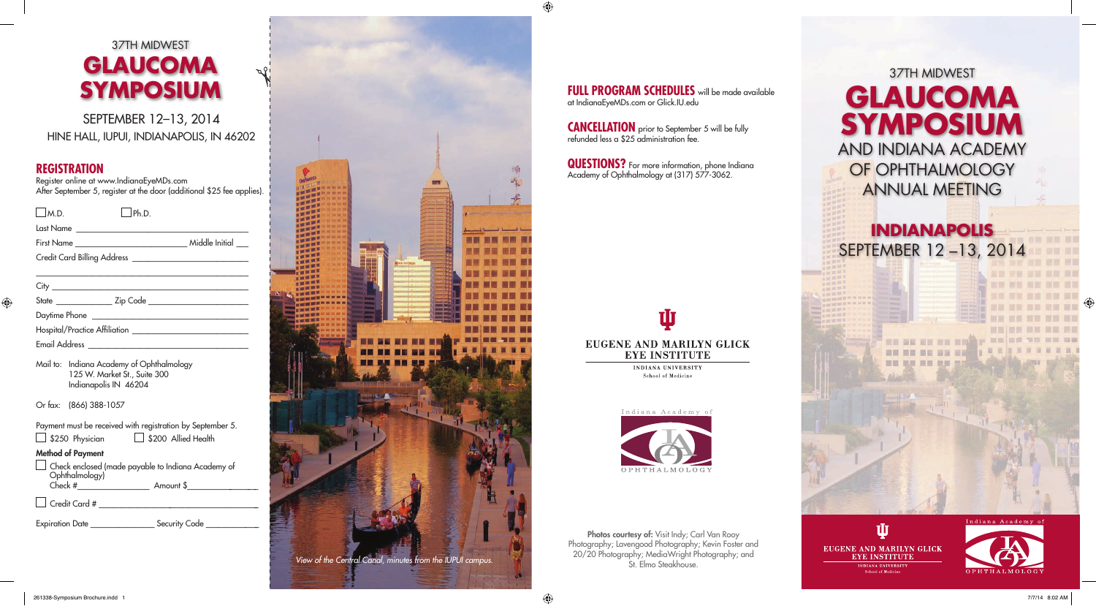# 37TH MIDWEST **GLAUCOMA SYMPOSIUM** AND INDIANA ACADEMY OF OPHTHALMOLOGY ANNUAL MEETING

## **INDIANAPOLIS** SEPTEMBER 12 –13, 2014







SEPTEMBER 12–13, 2014 HINE HALL, IUPUI, INDIANAPOLIS, IN 46202

## **REGISTRATION**

Register online at www.IndianaEyeMDs.com After September 5, register at the door (additional \$25 fee applies).

| M.D.                                            | hD |  |
|-------------------------------------------------|----|--|
|                                                 |    |  |
|                                                 |    |  |
|                                                 |    |  |
|                                                 |    |  |
|                                                 |    |  |
|                                                 |    |  |
|                                                 |    |  |
|                                                 |    |  |
| Email Address _________________________________ |    |  |

|                          | Payment must be received with registration by September 5. |
|--------------------------|------------------------------------------------------------|
| $\Box$ \$250 Physician   | $\Box$ \$200 Allied Health                                 |
| <b>Method of Payment</b> |                                                            |
| Ophthalmology)           | $\Box$ Check enclosed (made payable to Indiana Academy of  |
| Check #                  | Amount \$                                                  |
| $\Box$ Credit Card #     |                                                            |
| Expiration Date _        | Security Code                                              |

Photos courtesy of: Visit Indy; Carl Van Rooy Photography; Lavengood Photography; Kevin Foster and 20/20 Photography; MediaWright Photography; and St. Elmo Steakhouse.

#### **FULL PROGRAM SCHEDULES** will be made available at IndianaEyeMDs.com or Glick.IU.edu

| Mail to: Indiana Academy of Ophthalmology |
|-------------------------------------------|
| 125 W. Market St., Suite 300              |
| Indianapolis IN 46204                     |

**QUESTIONS?** For more information, phone Indiana Academy of Ophthalmology at (317) 577-3062.

## T EUGENE AND MARILYN GLICK **EYE INSTITUTE**

**INDIANA UNIVERSITY** School of Medicine



Or fax: (866) 388-1057

# 37TH MIDWEST **GLAUCOMA SYMPOSIUM**



**CANCELLATION** prior to September 5 will be fully refunded less a \$25 administration fee.

 $\bigoplus$